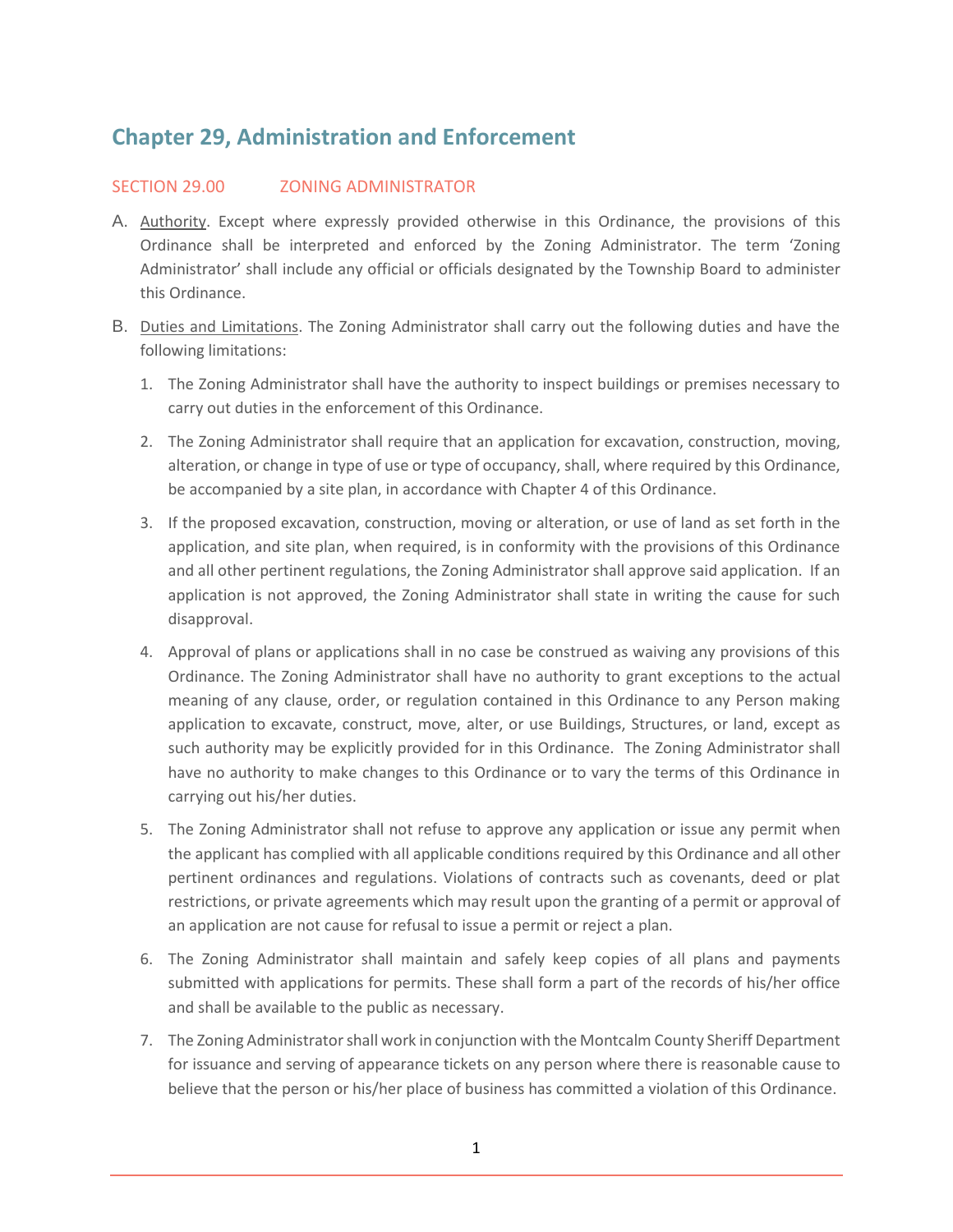# **Chapter 29, Administration and Enforcement**

## SECTION 29.00 **ZONING ADMINISTRATOR**

- A. Authority. Except where expressly provided otherwise in this Ordinance, the provisions of this Ordinance shall be interpreted and enforced by the Zoning Administrator. The term 'Zoning Administrator' shall include any official or officials designated by the Township Board to administer this Ordinance.
- B. Duties and Limitations. The Zoning Administrator shall carry out the following duties and have the following limitations:
	- 1. The Zoning Administrator shall have the authority to inspect buildings or premises necessary to carry out duties in the enforcement of this Ordinance.
	- 2. The Zoning Administrator shall require that an application for excavation, construction, moving, alteration, or change in type of use or type of occupancy, shall, where required by this Ordinance, be accompanied by a site plan, in accordance with Chapter 4 of this Ordinance.
	- 3. If the proposed excavation, construction, moving or alteration, or use of land as set forth in the application, and site plan, when required, is in conformity with the provisions of this Ordinance and all other pertinent regulations, the Zoning Administrator shall approve said application. If an application is not approved, the Zoning Administrator shall state in writing the cause for such disapproval.
	- 4. Approval of plans or applications shall in no case be construed as waiving any provisions of this Ordinance. The Zoning Administrator shall have no authority to grant exceptions to the actual meaning of any clause, order, or regulation contained in this Ordinance to any Person making application to excavate, construct, move, alter, or use Buildings, Structures, or land, except as such authority may be explicitly provided for in this Ordinance. The Zoning Administrator shall have no authority to make changes to this Ordinance or to vary the terms of this Ordinance in carrying out his/her duties.
	- 5. The Zoning Administrator shall not refuse to approve any application or issue any permit when the applicant has complied with all applicable conditions required by this Ordinance and all other pertinent ordinances and regulations. Violations of contracts such as covenants, deed or plat restrictions, or private agreements which may result upon the granting of a permit or approval of an application are not cause for refusal to issue a permit or reject a plan.
	- 6. The Zoning Administrator shall maintain and safely keep copies of all plans and payments submitted with applications for permits. These shall form a part of the records of his/her office and shall be available to the public as necessary.
	- 7. The Zoning Administrator shall work in conjunction with the Montcalm County Sheriff Department for issuance and serving of appearance tickets on any person where there is reasonable cause to believe that the person or his/her place of business has committed a violation of this Ordinance.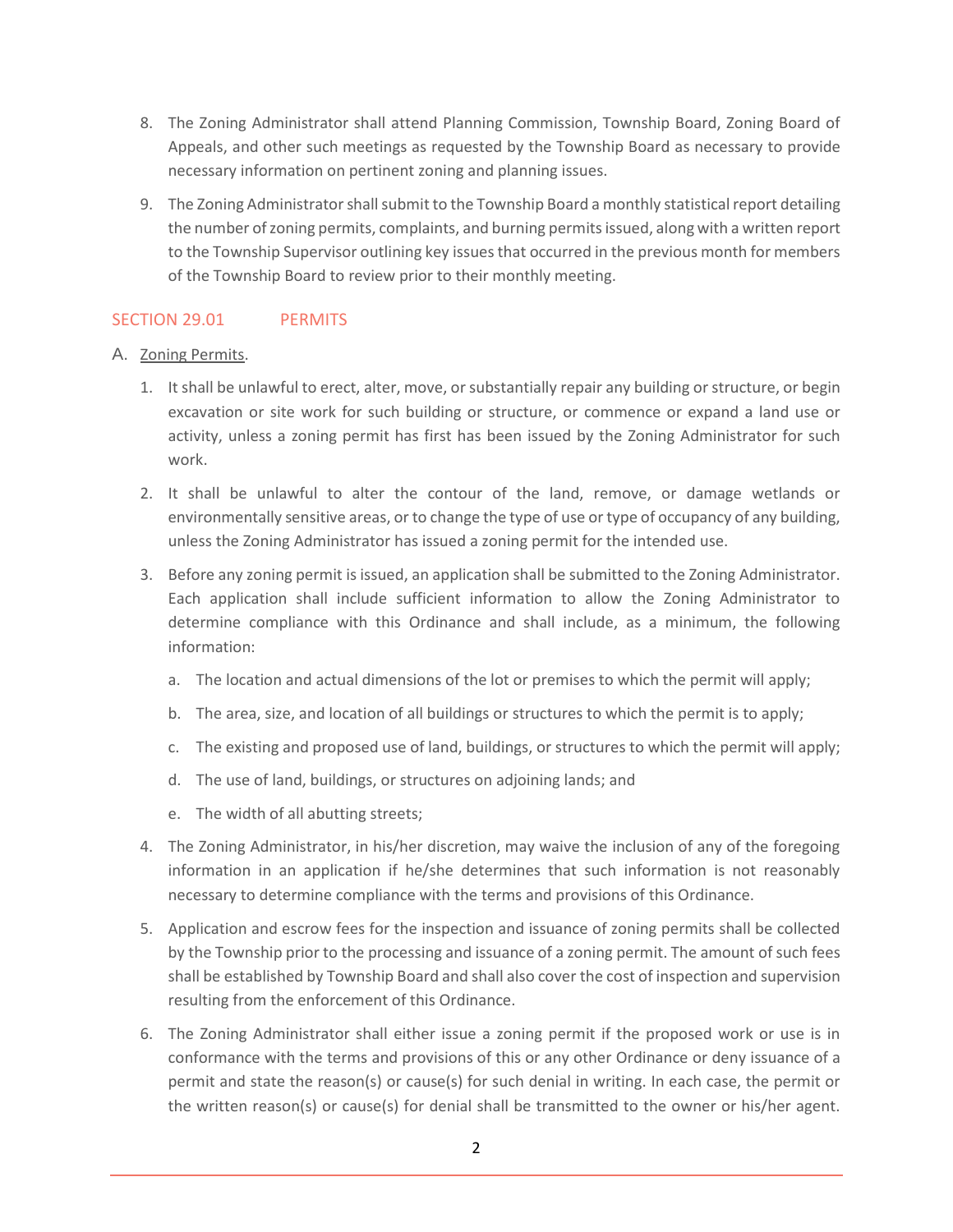- 8. The Zoning Administrator shall attend Planning Commission, Township Board, Zoning Board of Appeals, and other such meetings as requested by the Township Board as necessary to provide necessary information on pertinent zoning and planning issues.
- 9. The Zoning Administrator shall submit to the Township Board a monthly statistical report detailing the number of zoning permits, complaints, and burning permits issued, along with a written report to the Township Supervisor outlining key issues that occurred in the previous month for members of the Township Board to review prior to their monthly meeting.

# SECTION 29.01 PERMITS

- A. Zoning Permits.
	- 1. It shall be unlawful to erect, alter, move, or substantially repair any building or structure, or begin excavation or site work for such building or structure, or commence or expand a land use or activity, unless a zoning permit has first has been issued by the Zoning Administrator for such work.
	- 2. It shall be unlawful to alter the contour of the land, remove, or damage wetlands or environmentally sensitive areas, or to change the type of use or type of occupancy of any building, unless the Zoning Administrator has issued a zoning permit for the intended use.
	- 3. Before any zoning permit is issued, an application shall be submitted to the Zoning Administrator. Each application shall include sufficient information to allow the Zoning Administrator to determine compliance with this Ordinance and shall include, as a minimum, the following information:
		- a. The location and actual dimensions of the lot or premises to which the permit will apply;
		- b. The area, size, and location of all buildings or structures to which the permit is to apply;
		- c. The existing and proposed use of land, buildings, or structures to which the permit will apply;
		- d. The use of land, buildings, or structures on adjoining lands; and
		- e. The width of all abutting streets;
	- 4. The Zoning Administrator, in his/her discretion, may waive the inclusion of any of the foregoing information in an application if he/she determines that such information is not reasonably necessary to determine compliance with the terms and provisions of this Ordinance.
	- 5. Application and escrow fees for the inspection and issuance of zoning permits shall be collected by the Township prior to the processing and issuance of a zoning permit. The amount of such fees shall be established by Township Board and shall also cover the cost of inspection and supervision resulting from the enforcement of this Ordinance.
	- 6. The Zoning Administrator shall either issue a zoning permit if the proposed work or use is in conformance with the terms and provisions of this or any other Ordinance or deny issuance of a permit and state the reason(s) or cause(s) for such denial in writing. In each case, the permit or the written reason(s) or cause(s) for denial shall be transmitted to the owner or his/her agent.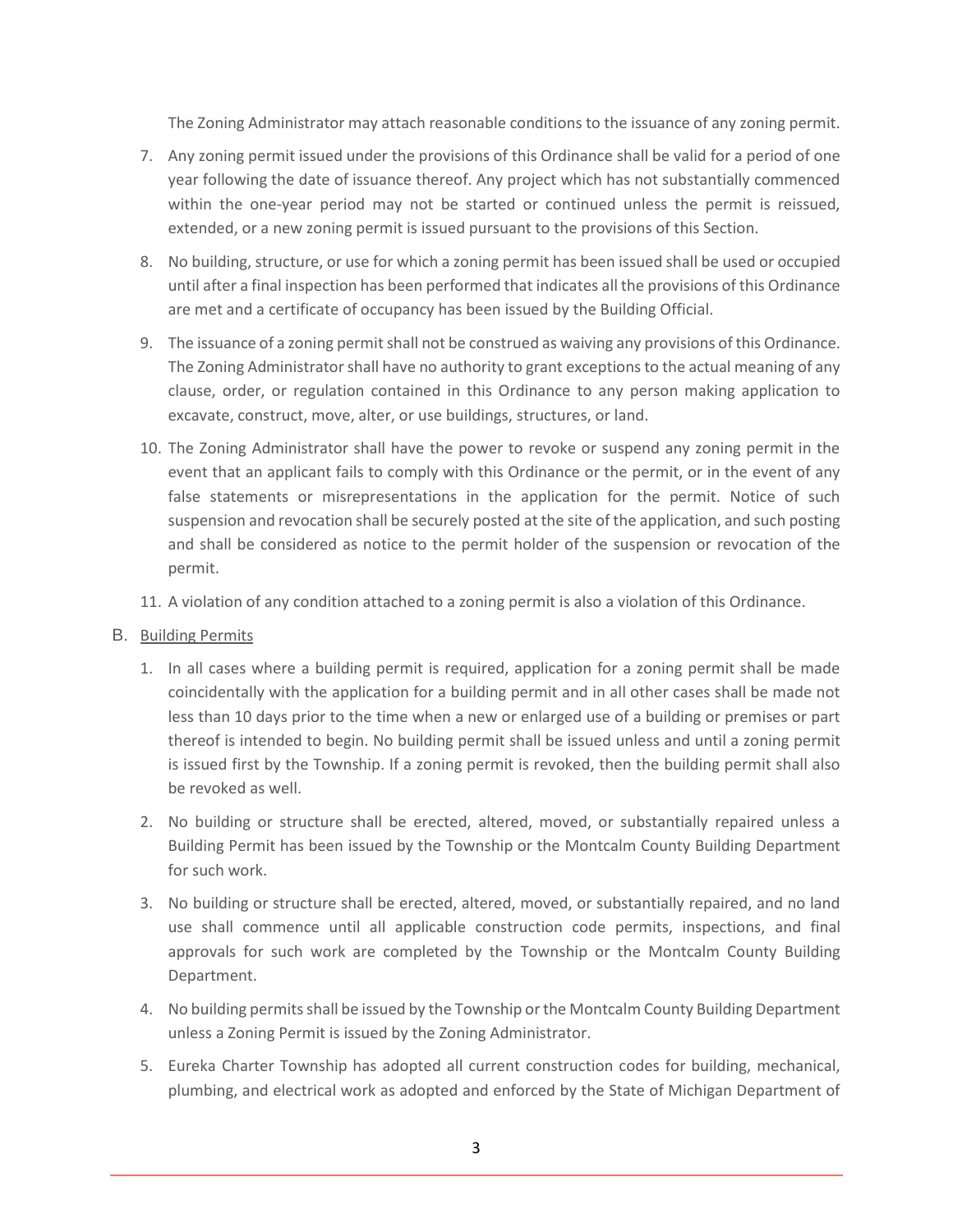The Zoning Administrator may attach reasonable conditions to the issuance of any zoning permit.

- 7. Any zoning permit issued under the provisions of this Ordinance shall be valid for a period of one year following the date of issuance thereof. Any project which has not substantially commenced within the one-year period may not be started or continued unless the permit is reissued, extended, or a new zoning permit is issued pursuant to the provisions of this Section.
- 8. No building, structure, or use for which a zoning permit has been issued shall be used or occupied until after a final inspection has been performed that indicates all the provisions of this Ordinance are met and a certificate of occupancy has been issued by the Building Official.
- 9. The issuance of a zoning permit shall not be construed as waiving any provisions of this Ordinance. The Zoning Administrator shall have no authority to grant exceptions to the actual meaning of any clause, order, or regulation contained in this Ordinance to any person making application to excavate, construct, move, alter, or use buildings, structures, or land.
- 10. The Zoning Administrator shall have the power to revoke or suspend any zoning permit in the event that an applicant fails to comply with this Ordinance or the permit, or in the event of any false statements or misrepresentations in the application for the permit. Notice of such suspension and revocation shall be securely posted at the site of the application, and such posting and shall be considered as notice to the permit holder of the suspension or revocation of the permit.
- 11. A violation of any condition attached to a zoning permit is also a violation of this Ordinance.
- B. Building Permits
	- 1. In all cases where a building permit is required, application for a zoning permit shall be made coincidentally with the application for a building permit and in all other cases shall be made not less than 10 days prior to the time when a new or enlarged use of a building or premises or part thereof is intended to begin. No building permit shall be issued unless and until a zoning permit is issued first by the Township. If a zoning permit is revoked, then the building permit shall also be revoked as well.
	- 2. No building or structure shall be erected, altered, moved, or substantially repaired unless a Building Permit has been issued by the Township or the Montcalm County Building Department for such work.
	- 3. No building or structure shall be erected, altered, moved, or substantially repaired, and no land use shall commence until all applicable construction code permits, inspections, and final approvals for such work are completed by the Township or the Montcalm County Building Department.
	- 4. No building permits shall be issued by the Township or the Montcalm County Building Department unless a Zoning Permit is issued by the Zoning Administrator.
	- 5. Eureka Charter Township has adopted all current construction codes for building, mechanical, plumbing, and electrical work as adopted and enforced by the State of Michigan Department of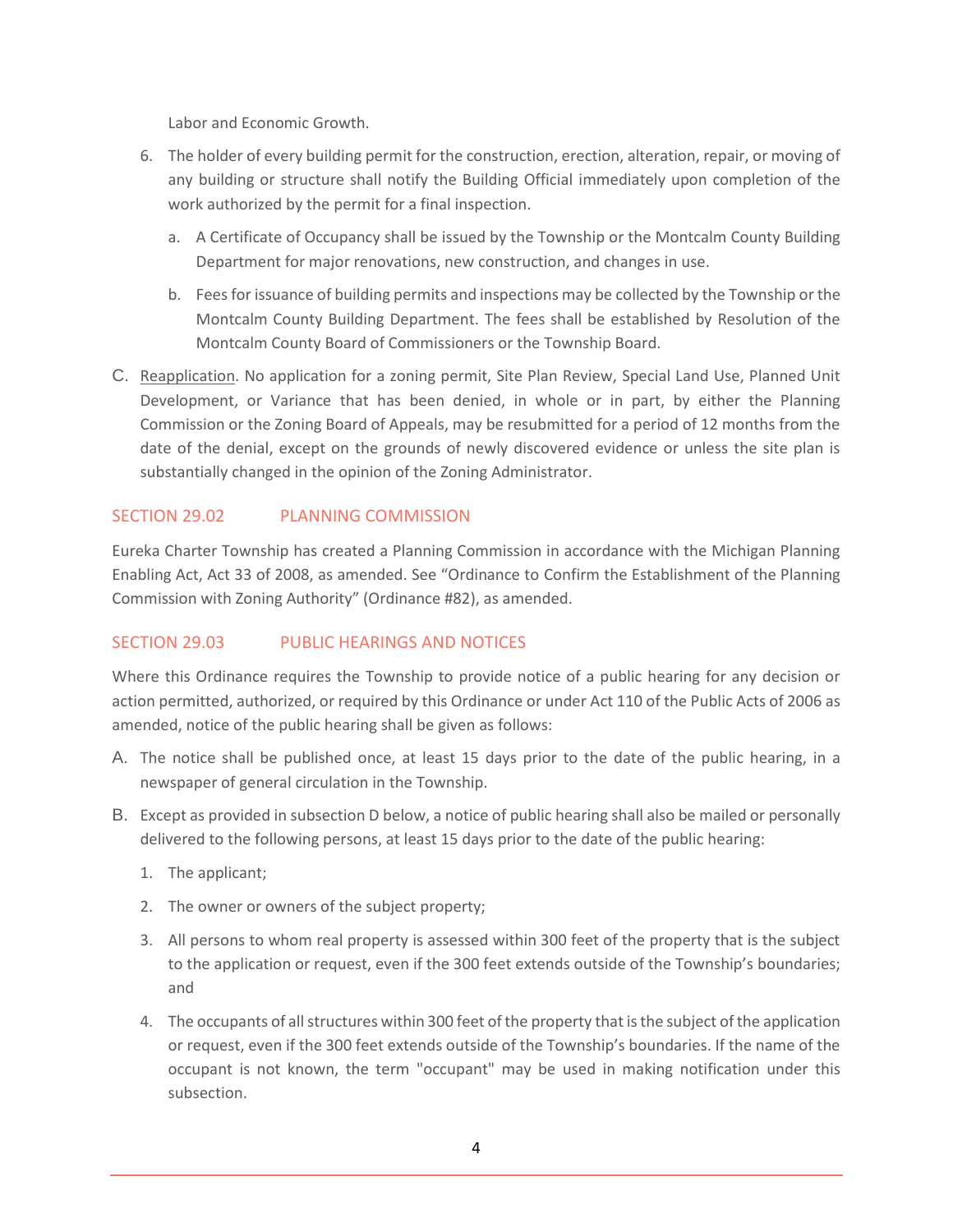Labor and Economic Growth.

- 6. The holder of every building permit for the construction, erection, alteration, repair, or moving of any building or structure shall notify the Building Official immediately upon completion of the work authorized by the permit for a final inspection.
	- a. A Certificate of Occupancy shall be issued by the Township or the Montcalm County Building Department for major renovations, new construction, and changes in use.
	- b. Fees for issuance of building permits and inspections may be collected by the Township or the Montcalm County Building Department. The fees shall be established by Resolution of the Montcalm County Board of Commissioners or the Township Board.
- C. Reapplication. No application for a zoning permit, Site Plan Review, Special Land Use, Planned Unit Development, or Variance that has been denied, in whole or in part, by either the Planning Commission or the Zoning Board of Appeals, may be resubmitted for a period of 12 months from the date of the denial, except on the grounds of newly discovered evidence or unless the site plan is substantially changed in the opinion of the Zoning Administrator.

# SECTION 29.02 PLANNING COMMISSION

Eureka Charter Township has created a Planning Commission in accordance with the Michigan Planning Enabling Act, Act 33 of 2008, as amended. See "Ordinance to Confirm the Establishment of the Planning Commission with Zoning Authority" (Ordinance #82), as amended.

# SECTION 29.03 PUBLIC HEARINGS AND NOTICES

Where this Ordinance requires the Township to provide notice of a public hearing for any decision or action permitted, authorized, or required by this Ordinance or under Act 110 of the Public Acts of 2006 as amended, notice of the public hearing shall be given as follows:

- A. The notice shall be published once, at least 15 days prior to the date of the public hearing, in a newspaper of general circulation in the Township.
- B. Except as provided in subsection D below, a notice of public hearing shall also be mailed or personally delivered to the following persons, at least 15 days prior to the date of the public hearing:
	- 1. The applicant;
	- 2. The owner or owners of the subject property;
	- 3. All persons to whom real property is assessed within 300 feet of the property that is the subject to the application or request, even if the 300 feet extends outside of the Township's boundaries; and
	- 4. The occupants of all structures within 300 feet of the property that is the subject of the application or request, even if the 300 feet extends outside of the Township's boundaries. If the name of the occupant is not known, the term "occupant" may be used in making notification under this subsection.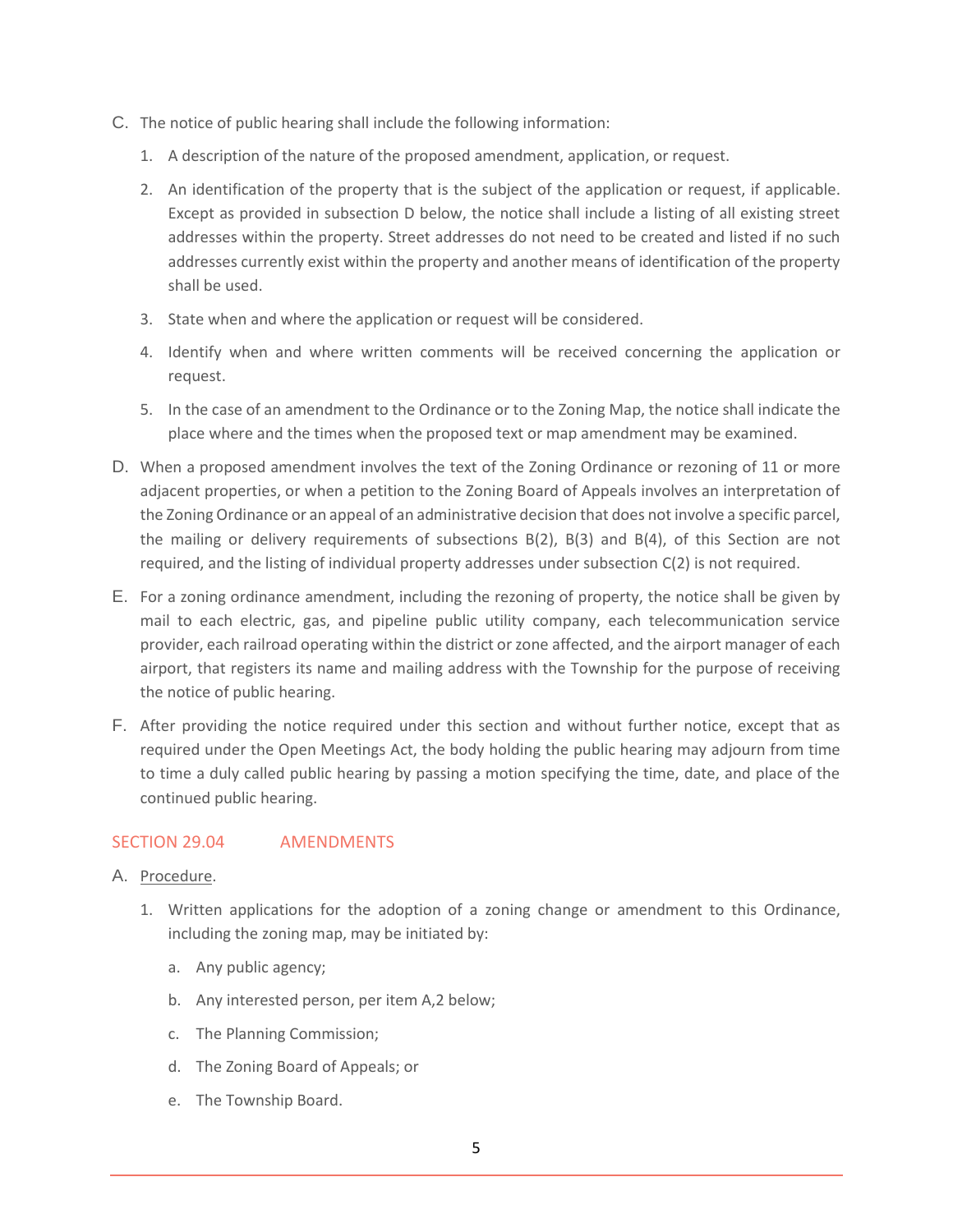- C. The notice of public hearing shall include the following information:
	- 1. A description of the nature of the proposed amendment, application, or request.
	- 2. An identification of the property that is the subject of the application or request, if applicable. Except as provided in subsection D below, the notice shall include a listing of all existing street addresses within the property. Street addresses do not need to be created and listed if no such addresses currently exist within the property and another means of identification of the property shall be used.
	- 3. State when and where the application or request will be considered.
	- 4. Identify when and where written comments will be received concerning the application or request.
	- 5. In the case of an amendment to the Ordinance or to the Zoning Map, the notice shall indicate the place where and the times when the proposed text or map amendment may be examined.
- D. When a proposed amendment involves the text of the Zoning Ordinance or rezoning of 11 or more adjacent properties, or when a petition to the Zoning Board of Appeals involves an interpretation of the Zoning Ordinance or an appeal of an administrative decision that does not involve a specific parcel, the mailing or delivery requirements of subsections B(2), B(3) and B(4), of this Section are not required, and the listing of individual property addresses under subsection C(2) is not required.
- E. For a zoning ordinance amendment, including the rezoning of property, the notice shall be given by mail to each electric, gas, and pipeline public utility company, each telecommunication service provider, each railroad operating within the district or zone affected, and the airport manager of each airport, that registers its name and mailing address with the Township for the purpose of receiving the notice of public hearing.
- F. After providing the notice required under this section and without further notice, except that as required under the Open Meetings Act, the body holding the public hearing may adjourn from time to time a duly called public hearing by passing a motion specifying the time, date, and place of the continued public hearing.

## SECTION 29.04 AMENDMENTS

- A. Procedure.
	- 1. Written applications for the adoption of a zoning change or amendment to this Ordinance, including the zoning map, may be initiated by:
		- a. Any public agency;
		- b. Any interested person, per item A,2 below;
		- c. The Planning Commission;
		- d. The Zoning Board of Appeals; or
		- e. The Township Board.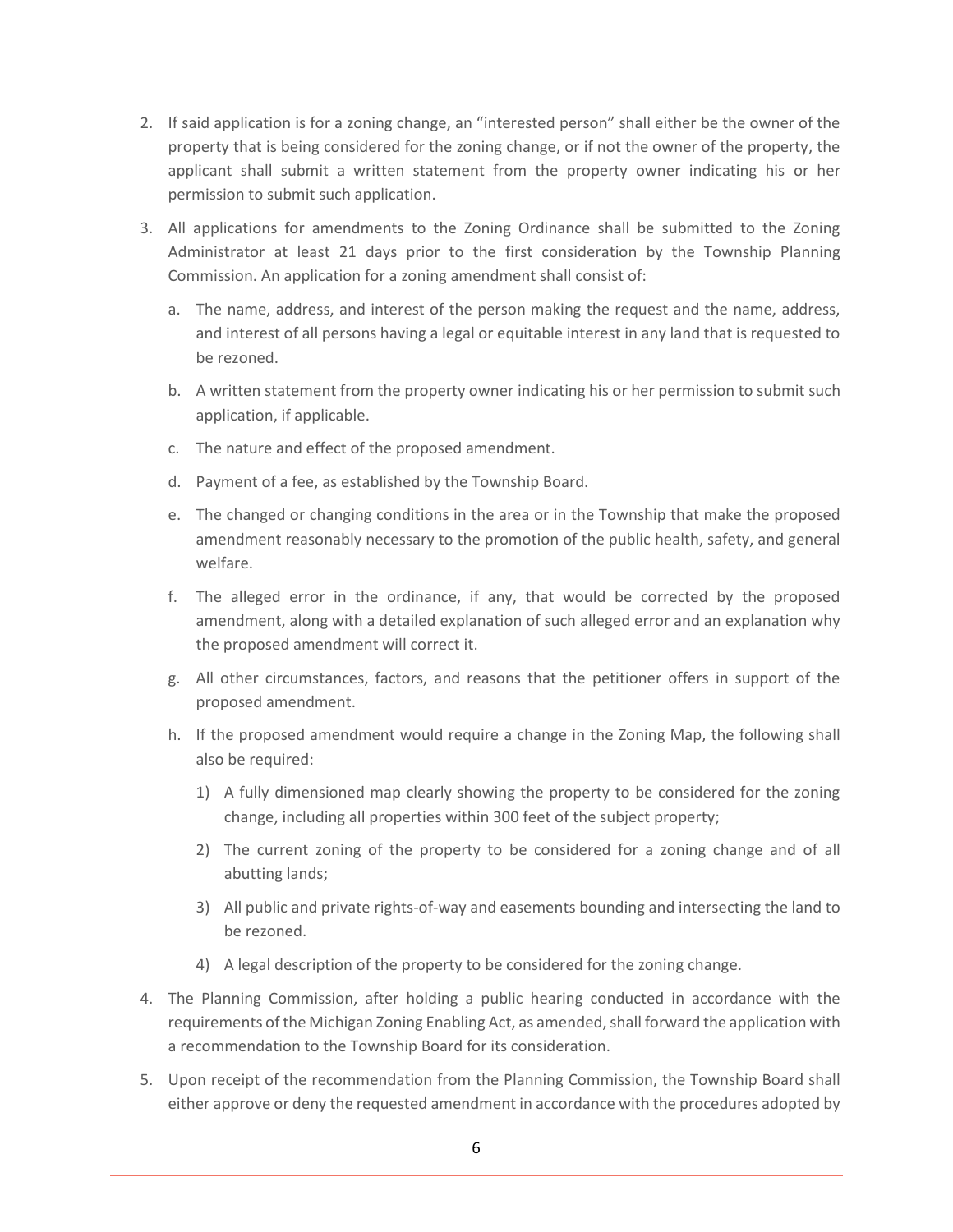- 2. If said application is for a zoning change, an "interested person" shall either be the owner of the property that is being considered for the zoning change, or if not the owner of the property, the applicant shall submit a written statement from the property owner indicating his or her permission to submit such application.
- 3. All applications for amendments to the Zoning Ordinance shall be submitted to the Zoning Administrator at least 21 days prior to the first consideration by the Township Planning Commission. An application for a zoning amendment shall consist of:
	- a. The name, address, and interest of the person making the request and the name, address, and interest of all persons having a legal or equitable interest in any land that is requested to be rezoned.
	- b. A written statement from the property owner indicating his or her permission to submit such application, if applicable.
	- c. The nature and effect of the proposed amendment.
	- d. Payment of a fee, as established by the Township Board.
	- e. The changed or changing conditions in the area or in the Township that make the proposed amendment reasonably necessary to the promotion of the public health, safety, and general welfare.
	- f. The alleged error in the ordinance, if any, that would be corrected by the proposed amendment, along with a detailed explanation of such alleged error and an explanation why the proposed amendment will correct it.
	- g. All other circumstances, factors, and reasons that the petitioner offers in support of the proposed amendment.
	- h. If the proposed amendment would require a change in the Zoning Map, the following shall also be required:
		- 1) A fully dimensioned map clearly showing the property to be considered for the zoning change, including all properties within 300 feet of the subject property;
		- 2) The current zoning of the property to be considered for a zoning change and of all abutting lands;
		- 3) All public and private rights-of-way and easements bounding and intersecting the land to be rezoned.
		- 4) A legal description of the property to be considered for the zoning change.
- 4. The Planning Commission, after holding a public hearing conducted in accordance with the requirements of the Michigan Zoning Enabling Act, as amended, shall forward the application with a recommendation to the Township Board for its consideration.
- 5. Upon receipt of the recommendation from the Planning Commission, the Township Board shall either approve or deny the requested amendment in accordance with the procedures adopted by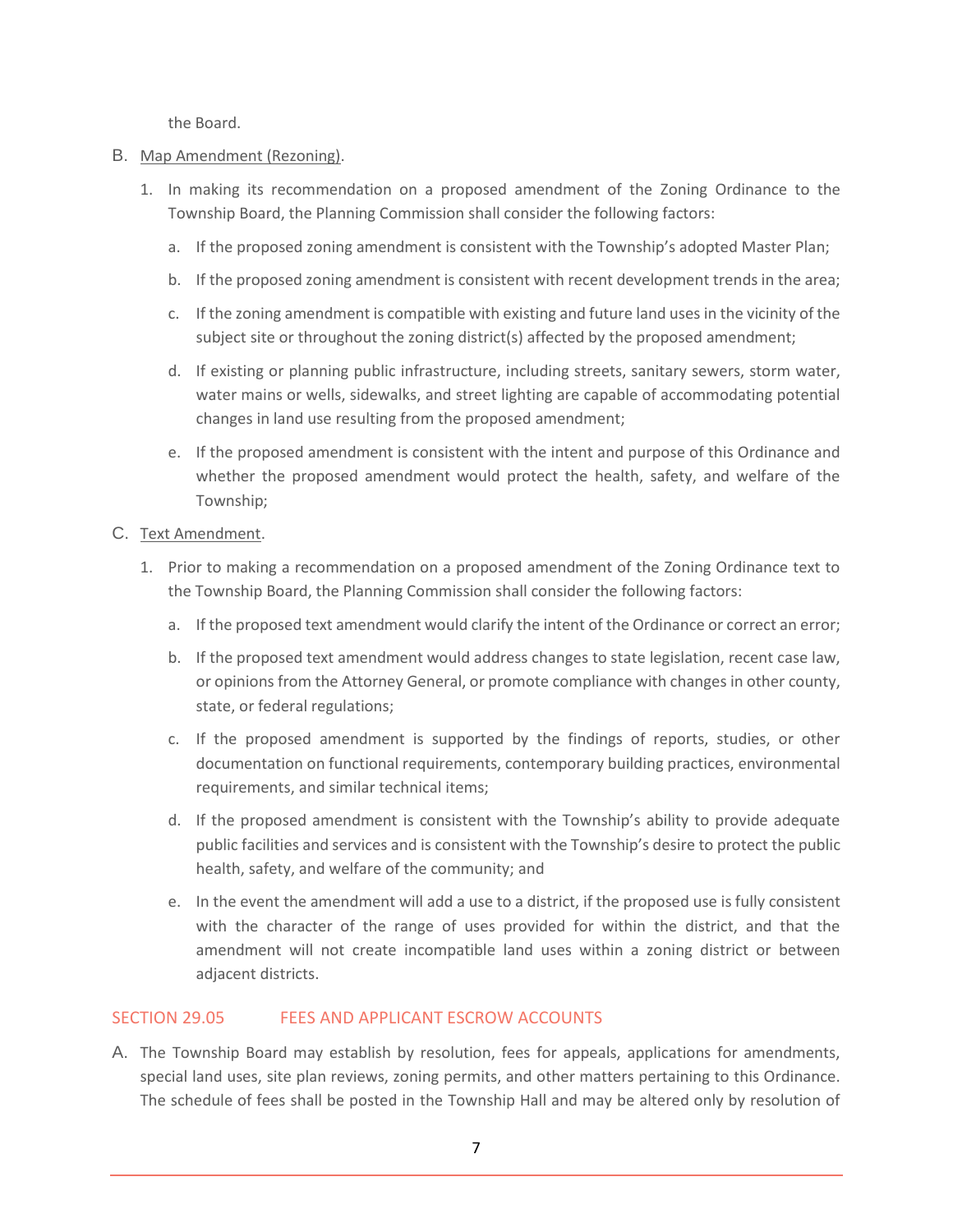the Board.

## B. Map Amendment (Rezoning).

- 1. In making its recommendation on a proposed amendment of the Zoning Ordinance to the Township Board, the Planning Commission shall consider the following factors:
	- a. If the proposed zoning amendment is consistent with the Township's adopted Master Plan;
	- b. If the proposed zoning amendment is consistent with recent development trends in the area;
	- c. If the zoning amendment is compatible with existing and future land uses in the vicinity of the subject site or throughout the zoning district(s) affected by the proposed amendment;
	- d. If existing or planning public infrastructure, including streets, sanitary sewers, storm water, water mains or wells, sidewalks, and street lighting are capable of accommodating potential changes in land use resulting from the proposed amendment;
	- e. If the proposed amendment is consistent with the intent and purpose of this Ordinance and whether the proposed amendment would protect the health, safety, and welfare of the Township;

## C. Text Amendment.

- 1. Prior to making a recommendation on a proposed amendment of the Zoning Ordinance text to the Township Board, the Planning Commission shall consider the following factors:
	- a. If the proposed text amendment would clarify the intent of the Ordinance or correct an error;
	- b. If the proposed text amendment would address changes to state legislation, recent case law, or opinions from the Attorney General, or promote compliance with changes in other county, state, or federal regulations;
	- c. If the proposed amendment is supported by the findings of reports, studies, or other documentation on functional requirements, contemporary building practices, environmental requirements, and similar technical items;
	- d. If the proposed amendment is consistent with the Township's ability to provide adequate public facilities and services and is consistent with the Township's desire to protect the public health, safety, and welfare of the community; and
	- e. In the event the amendment will add a use to a district, if the proposed use is fully consistent with the character of the range of uses provided for within the district, and that the amendment will not create incompatible land uses within a zoning district or between adjacent districts.

# SECTION 29.05 FEES AND APPLICANT ESCROW ACCOUNTS

A. The Township Board may establish by resolution, fees for appeals, applications for amendments, special land uses, site plan reviews, zoning permits, and other matters pertaining to this Ordinance. The schedule of fees shall be posted in the Township Hall and may be altered only by resolution of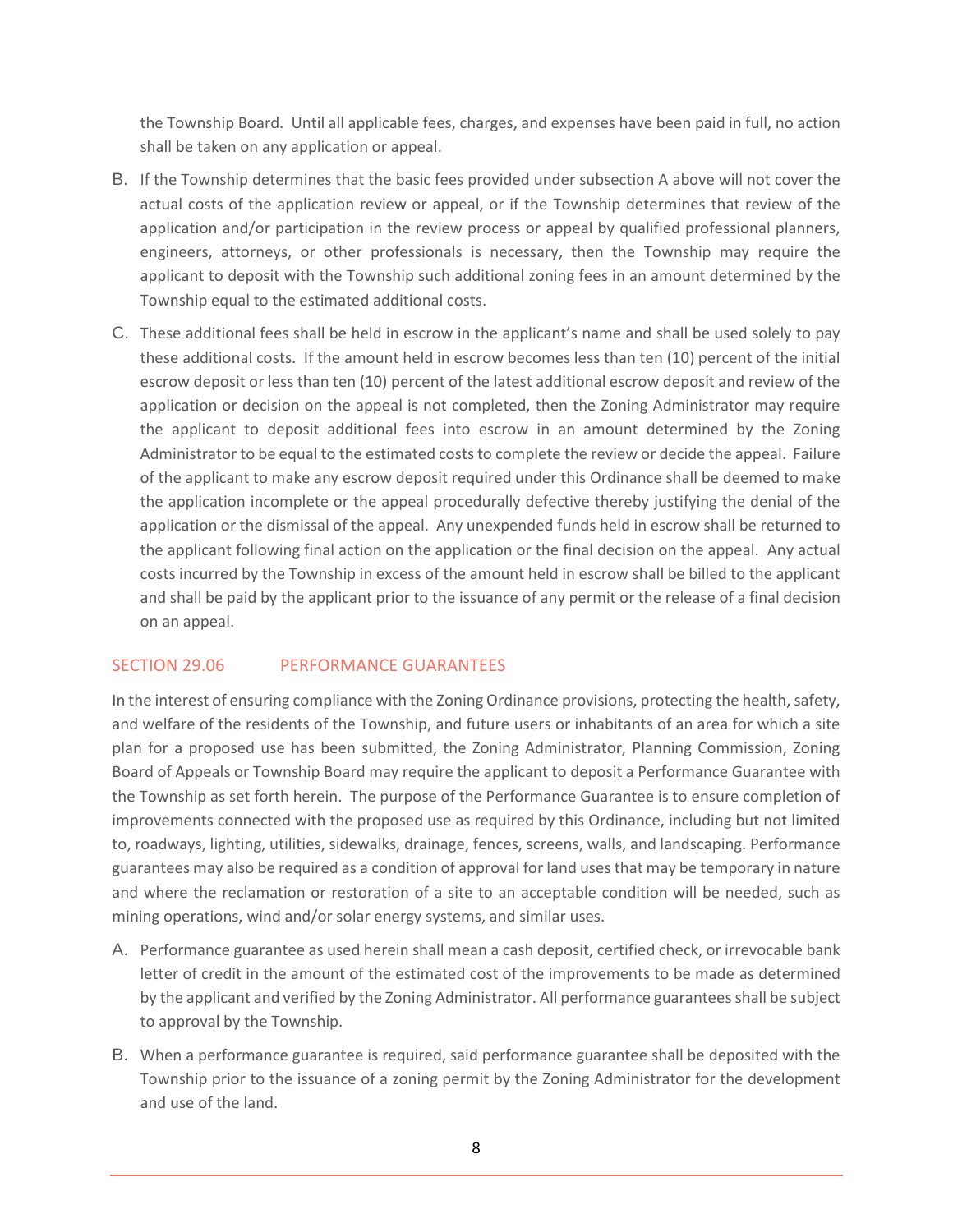the Township Board. Until all applicable fees, charges, and expenses have been paid in full, no action shall be taken on any application or appeal.

- B. If the Township determines that the basic fees provided under subsection A above will not cover the actual costs of the application review or appeal, or if the Township determines that review of the application and/or participation in the review process or appeal by qualified professional planners, engineers, attorneys, or other professionals is necessary, then the Township may require the applicant to deposit with the Township such additional zoning fees in an amount determined by the Township equal to the estimated additional costs.
- C. These additional fees shall be held in escrow in the applicant's name and shall be used solely to pay these additional costs. If the amount held in escrow becomes less than ten (10) percent of the initial escrow deposit or less than ten (10) percent of the latest additional escrow deposit and review of the application or decision on the appeal is not completed, then the Zoning Administrator may require the applicant to deposit additional fees into escrow in an amount determined by the Zoning Administrator to be equal to the estimated costs to complete the review or decide the appeal. Failure of the applicant to make any escrow deposit required under this Ordinance shall be deemed to make the application incomplete or the appeal procedurally defective thereby justifying the denial of the application or the dismissal of the appeal. Any unexpended funds held in escrow shall be returned to the applicant following final action on the application or the final decision on the appeal. Any actual costs incurred by the Township in excess of the amount held in escrow shall be billed to the applicant and shall be paid by the applicant prior to the issuance of any permit or the release of a final decision on an appeal.

# SECTION 29.06 PERFORMANCE GUARANTEES

In the interest of ensuring compliance with the Zoning Ordinance provisions, protecting the health, safety, and welfare of the residents of the Township, and future users or inhabitants of an area for which a site plan for a proposed use has been submitted, the Zoning Administrator, Planning Commission, Zoning Board of Appeals or Township Board may require the applicant to deposit a Performance Guarantee with the Township as set forth herein. The purpose of the Performance Guarantee is to ensure completion of improvements connected with the proposed use as required by this Ordinance, including but not limited to, roadways, lighting, utilities, sidewalks, drainage, fences, screens, walls, and landscaping. Performance guarantees may also be required as a condition of approval for land uses that may be temporary in nature and where the reclamation or restoration of a site to an acceptable condition will be needed, such as mining operations, wind and/or solar energy systems, and similar uses.

- A. Performance guarantee as used herein shall mean a cash deposit, certified check, or irrevocable bank letter of credit in the amount of the estimated cost of the improvements to be made as determined by the applicant and verified by the Zoning Administrator. All performance guarantees shall be subject to approval by the Township.
- B. When a performance guarantee is required, said performance guarantee shall be deposited with the Township prior to the issuance of a zoning permit by the Zoning Administrator for the development and use of the land.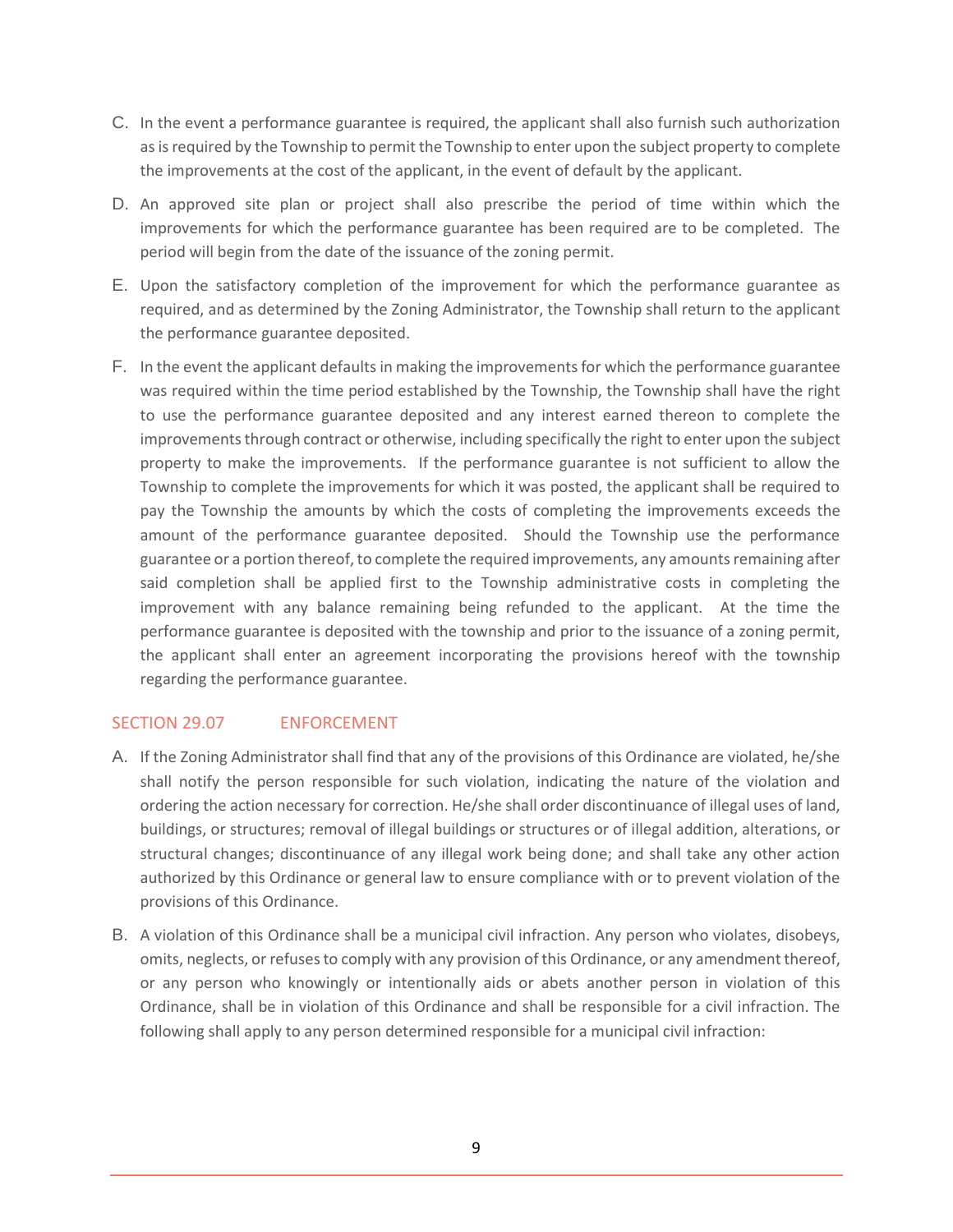- C. In the event a performance guarantee is required, the applicant shall also furnish such authorization as is required by the Township to permit the Township to enter upon the subject property to complete the improvements at the cost of the applicant, in the event of default by the applicant.
- D. An approved site plan or project shall also prescribe the period of time within which the improvements for which the performance guarantee has been required are to be completed. The period will begin from the date of the issuance of the zoning permit.
- E. Upon the satisfactory completion of the improvement for which the performance guarantee as required, and as determined by the Zoning Administrator, the Township shall return to the applicant the performance guarantee deposited.
- F. In the event the applicant defaults in making the improvements for which the performance guarantee was required within the time period established by the Township, the Township shall have the right to use the performance guarantee deposited and any interest earned thereon to complete the improvements through contract or otherwise, including specifically the right to enter upon the subject property to make the improvements. If the performance guarantee is not sufficient to allow the Township to complete the improvements for which it was posted, the applicant shall be required to pay the Township the amounts by which the costs of completing the improvements exceeds the amount of the performance guarantee deposited. Should the Township use the performance guarantee or a portion thereof, to complete the required improvements, any amounts remaining after said completion shall be applied first to the Township administrative costs in completing the improvement with any balance remaining being refunded to the applicant. At the time the performance guarantee is deposited with the township and prior to the issuance of a zoning permit, the applicant shall enter an agreement incorporating the provisions hereof with the township regarding the performance guarantee.

# SECTION 29.07 ENFORCEMENT

- A. If the Zoning Administrator shall find that any of the provisions of this Ordinance are violated, he/she shall notify the person responsible for such violation, indicating the nature of the violation and ordering the action necessary for correction. He/she shall order discontinuance of illegal uses of land, buildings, or structures; removal of illegal buildings or structures or of illegal addition, alterations, or structural changes; discontinuance of any illegal work being done; and shall take any other action authorized by this Ordinance or general law to ensure compliance with or to prevent violation of the provisions of this Ordinance.
- B. A violation of this Ordinance shall be a municipal civil infraction. Any person who violates, disobeys, omits, neglects, or refuses to comply with any provision of this Ordinance, or any amendment thereof, or any person who knowingly or intentionally aids or abets another person in violation of this Ordinance, shall be in violation of this Ordinance and shall be responsible for a civil infraction. The following shall apply to any person determined responsible for a municipal civil infraction: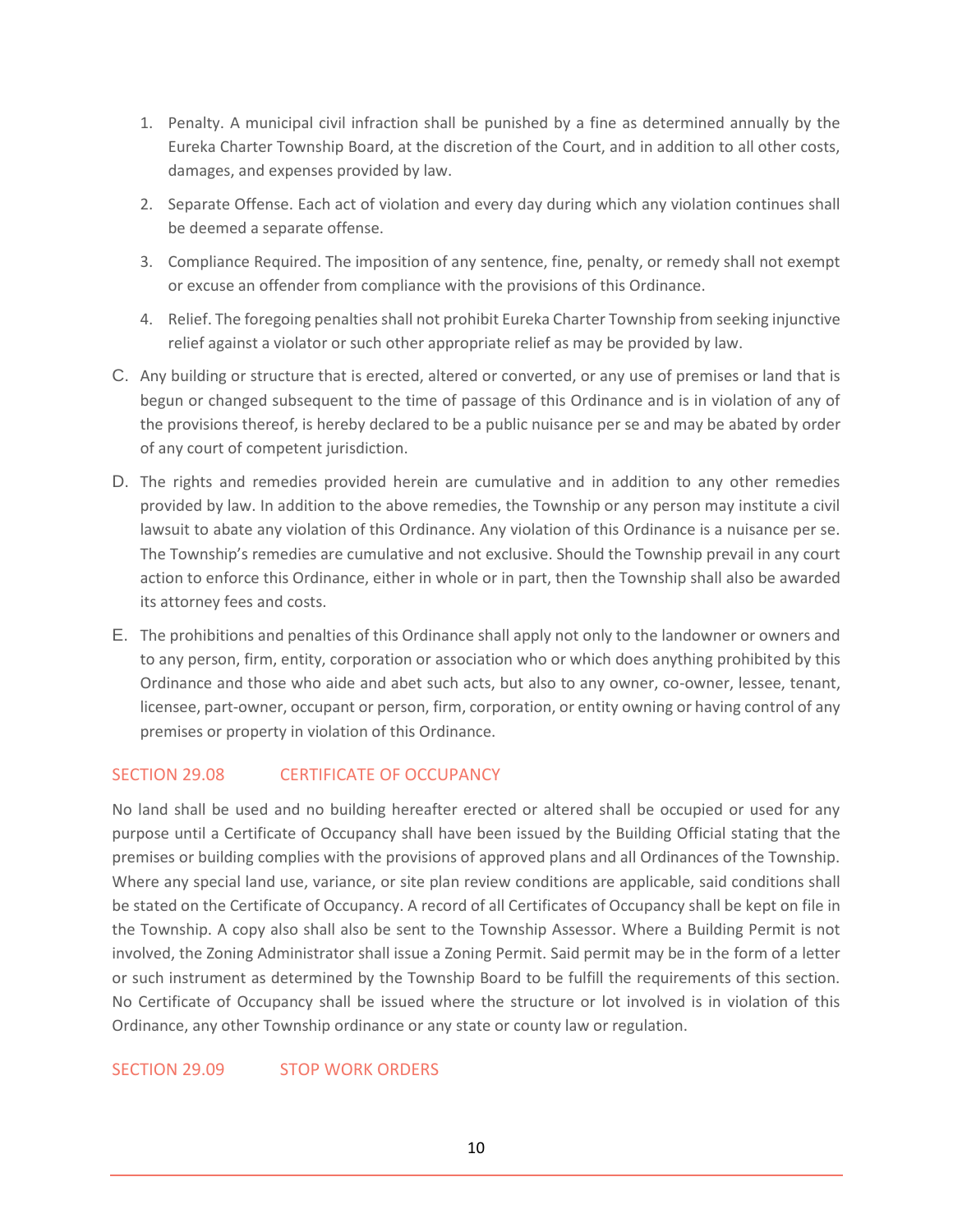- 1. Penalty. A municipal civil infraction shall be punished by a fine as determined annually by the Eureka Charter Township Board, at the discretion of the Court, and in addition to all other costs, damages, and expenses provided by law.
- 2. Separate Offense. Each act of violation and every day during which any violation continues shall be deemed a separate offense.
- 3. Compliance Required. The imposition of any sentence, fine, penalty, or remedy shall not exempt or excuse an offender from compliance with the provisions of this Ordinance.
- 4. Relief. The foregoing penalties shall not prohibit Eureka Charter Township from seeking injunctive relief against a violator or such other appropriate relief as may be provided by law.
- C. Any building or structure that is erected, altered or converted, or any use of premises or land that is begun or changed subsequent to the time of passage of this Ordinance and is in violation of any of the provisions thereof, is hereby declared to be a public nuisance per se and may be abated by order of any court of competent jurisdiction.
- D. The rights and remedies provided herein are cumulative and in addition to any other remedies provided by law. In addition to the above remedies, the Township or any person may institute a civil lawsuit to abate any violation of this Ordinance. Any violation of this Ordinance is a nuisance per se. The Township's remedies are cumulative and not exclusive. Should the Township prevail in any court action to enforce this Ordinance, either in whole or in part, then the Township shall also be awarded its attorney fees and costs.
- E. The prohibitions and penalties of this Ordinance shall apply not only to the landowner or owners and to any person, firm, entity, corporation or association who or which does anything prohibited by this Ordinance and those who aide and abet such acts, but also to any owner, co-owner, lessee, tenant, licensee, part-owner, occupant or person, firm, corporation, or entity owning or having control of any premises or property in violation of this Ordinance.

# SECTION 29.08 CERTIFICATE OF OCCUPANCY

No land shall be used and no building hereafter erected or altered shall be occupied or used for any purpose until a Certificate of Occupancy shall have been issued by the Building Official stating that the premises or building complies with the provisions of approved plans and all Ordinances of the Township. Where any special land use, variance, or site plan review conditions are applicable, said conditions shall be stated on the Certificate of Occupancy. A record of all Certificates of Occupancy shall be kept on file in the Township. A copy also shall also be sent to the Township Assessor. Where a Building Permit is not involved, the Zoning Administrator shall issue a Zoning Permit. Said permit may be in the form of a letter or such instrument as determined by the Township Board to be fulfill the requirements of this section. No Certificate of Occupancy shall be issued where the structure or lot involved is in violation of this Ordinance, any other Township ordinance or any state or county law or regulation.

SECTION 29.09 STOP WORK ORDERS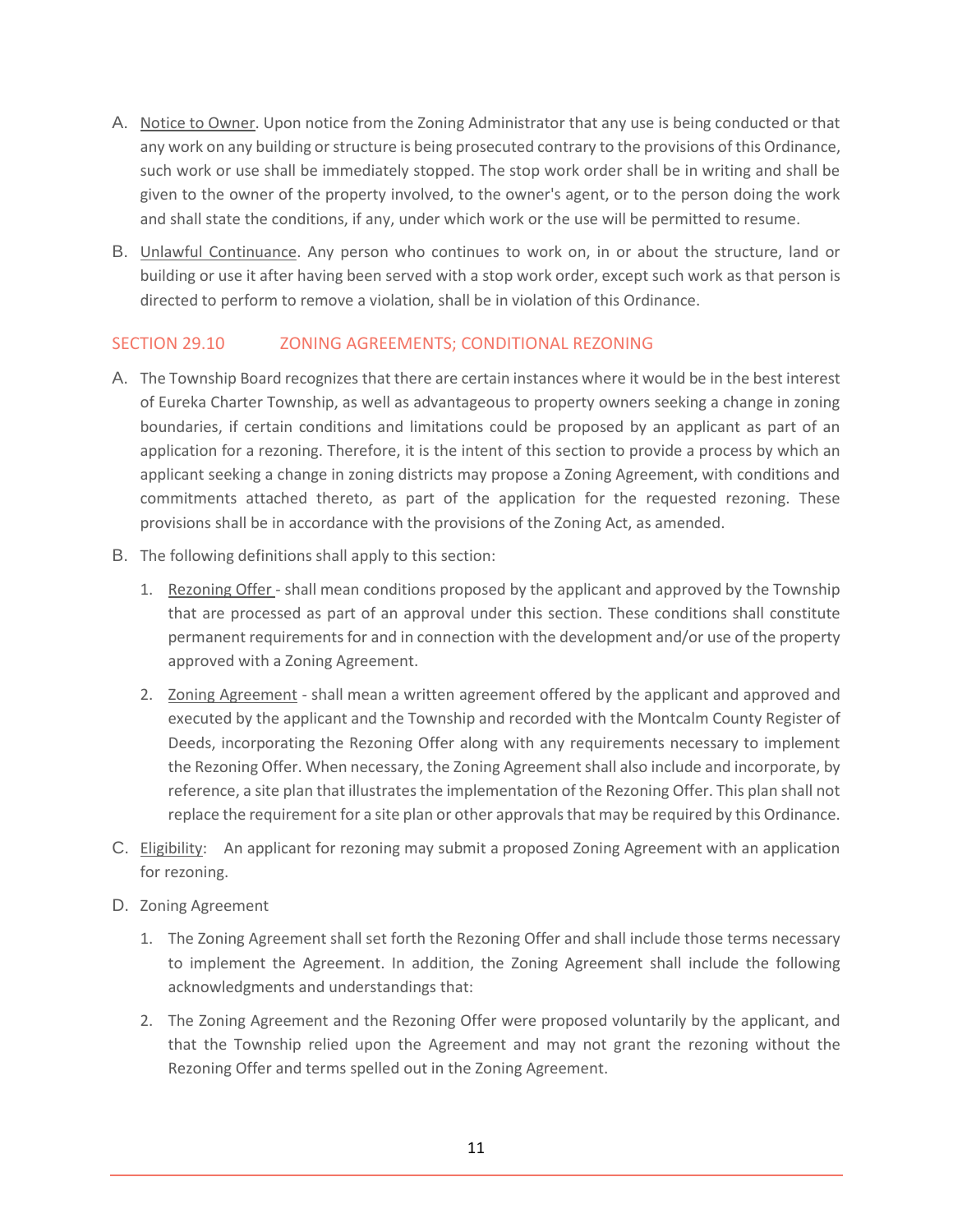- A. Notice to Owner. Upon notice from the Zoning Administrator that any use is being conducted or that any work on any building or structure is being prosecuted contrary to the provisions of this Ordinance, such work or use shall be immediately stopped. The stop work order shall be in writing and shall be given to the owner of the property involved, to the owner's agent, or to the person doing the work and shall state the conditions, if any, under which work or the use will be permitted to resume.
- B. Unlawful Continuance. Any person who continues to work on, in or about the structure, land or building or use it after having been served with a stop work order, except such work as that person is directed to perform to remove a violation, shall be in violation of this Ordinance.

## SECTION 29.10 ZONING AGREEMENTS; CONDITIONAL REZONING

- A. The Township Board recognizes that there are certain instances where it would be in the best interest of Eureka Charter Township, as well as advantageous to property owners seeking a change in zoning boundaries, if certain conditions and limitations could be proposed by an applicant as part of an application for a rezoning. Therefore, it is the intent of this section to provide a process by which an applicant seeking a change in zoning districts may propose a Zoning Agreement, with conditions and commitments attached thereto, as part of the application for the requested rezoning. These provisions shall be in accordance with the provisions of the Zoning Act, as amended.
- B. The following definitions shall apply to this section:
	- 1. Rezoning Offer shall mean conditions proposed by the applicant and approved by the Township that are processed as part of an approval under this section. These conditions shall constitute permanent requirements for and in connection with the development and/or use of the property approved with a Zoning Agreement.
	- 2. Zoning Agreement shall mean a written agreement offered by the applicant and approved and executed by the applicant and the Township and recorded with the Montcalm County Register of Deeds, incorporating the Rezoning Offer along with any requirements necessary to implement the Rezoning Offer. When necessary, the Zoning Agreement shall also include and incorporate, by reference, a site plan that illustrates the implementation of the Rezoning Offer. This plan shall not replace the requirement for a site plan or other approvals that may be required by this Ordinance.
- C. Eligibility: An applicant for rezoning may submit a proposed Zoning Agreement with an application for rezoning.
- D. Zoning Agreement
	- 1. The Zoning Agreement shall set forth the Rezoning Offer and shall include those terms necessary to implement the Agreement. In addition, the Zoning Agreement shall include the following acknowledgments and understandings that:
	- 2. The Zoning Agreement and the Rezoning Offer were proposed voluntarily by the applicant, and that the Township relied upon the Agreement and may not grant the rezoning without the Rezoning Offer and terms spelled out in the Zoning Agreement.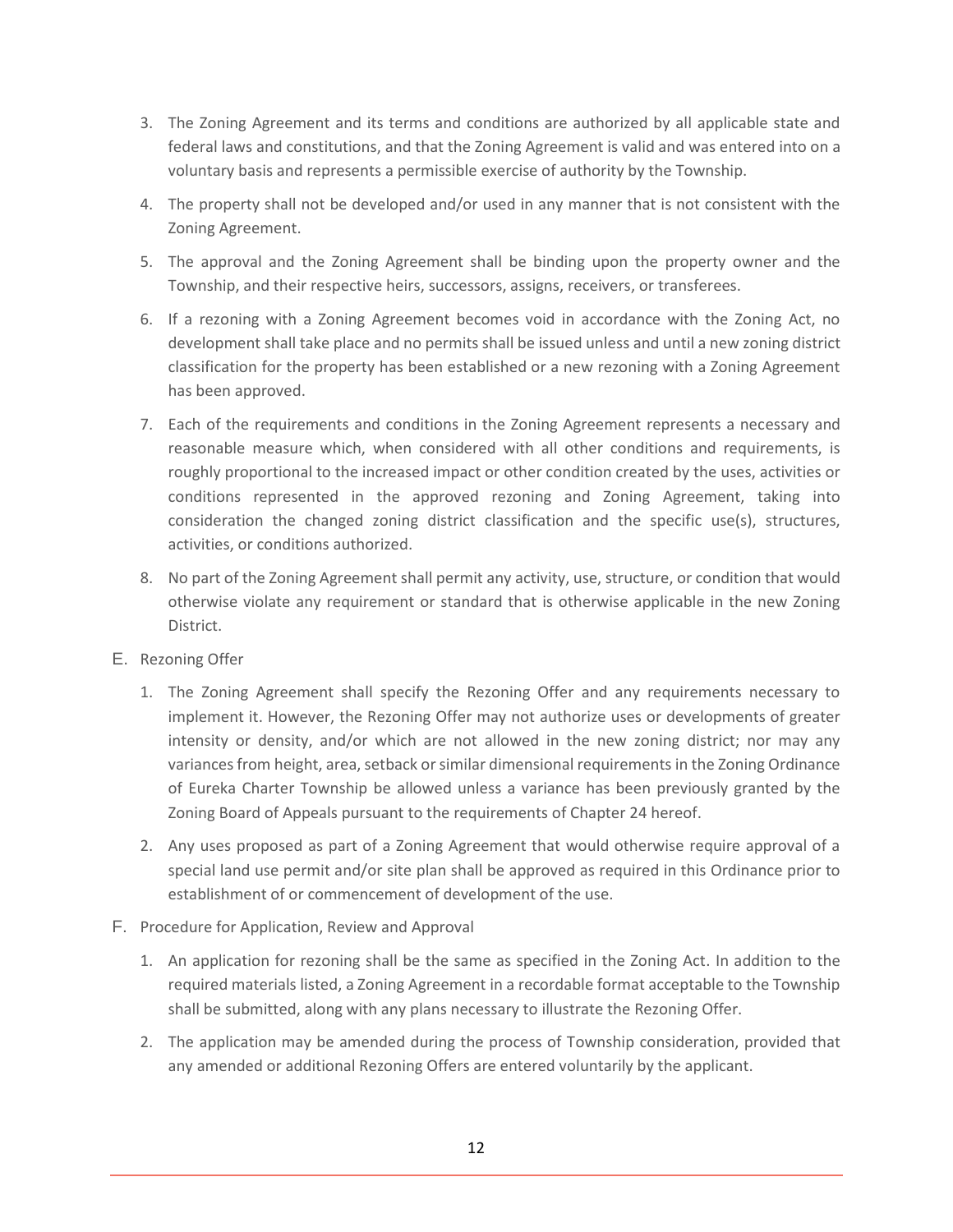- 3. The Zoning Agreement and its terms and conditions are authorized by all applicable state and federal laws and constitutions, and that the Zoning Agreement is valid and was entered into on a voluntary basis and represents a permissible exercise of authority by the Township.
- 4. The property shall not be developed and/or used in any manner that is not consistent with the Zoning Agreement.
- 5. The approval and the Zoning Agreement shall be binding upon the property owner and the Township, and their respective heirs, successors, assigns, receivers, or transferees.
- 6. If a rezoning with a Zoning Agreement becomes void in accordance with the Zoning Act, no development shall take place and no permits shall be issued unless and until a new zoning district classification for the property has been established or a new rezoning with a Zoning Agreement has been approved.
- 7. Each of the requirements and conditions in the Zoning Agreement represents a necessary and reasonable measure which, when considered with all other conditions and requirements, is roughly proportional to the increased impact or other condition created by the uses, activities or conditions represented in the approved rezoning and Zoning Agreement, taking into consideration the changed zoning district classification and the specific use(s), structures, activities, or conditions authorized.
- 8. No part of the Zoning Agreement shall permit any activity, use, structure, or condition that would otherwise violate any requirement or standard that is otherwise applicable in the new Zoning District.
- E. Rezoning Offer
	- 1. The Zoning Agreement shall specify the Rezoning Offer and any requirements necessary to implement it. However, the Rezoning Offer may not authorize uses or developments of greater intensity or density, and/or which are not allowed in the new zoning district; nor may any variances from height, area, setback or similar dimensional requirements in the Zoning Ordinance of Eureka Charter Township be allowed unless a variance has been previously granted by the Zoning Board of Appeals pursuant to the requirements of Chapter 24 hereof.
	- 2. Any uses proposed as part of a Zoning Agreement that would otherwise require approval of a special land use permit and/or site plan shall be approved as required in this Ordinance prior to establishment of or commencement of development of the use.
- F. Procedure for Application, Review and Approval
	- 1. An application for rezoning shall be the same as specified in the Zoning Act. In addition to the required materials listed, a Zoning Agreement in a recordable format acceptable to the Township shall be submitted, along with any plans necessary to illustrate the Rezoning Offer.
	- 2. The application may be amended during the process of Township consideration, provided that any amended or additional Rezoning Offers are entered voluntarily by the applicant.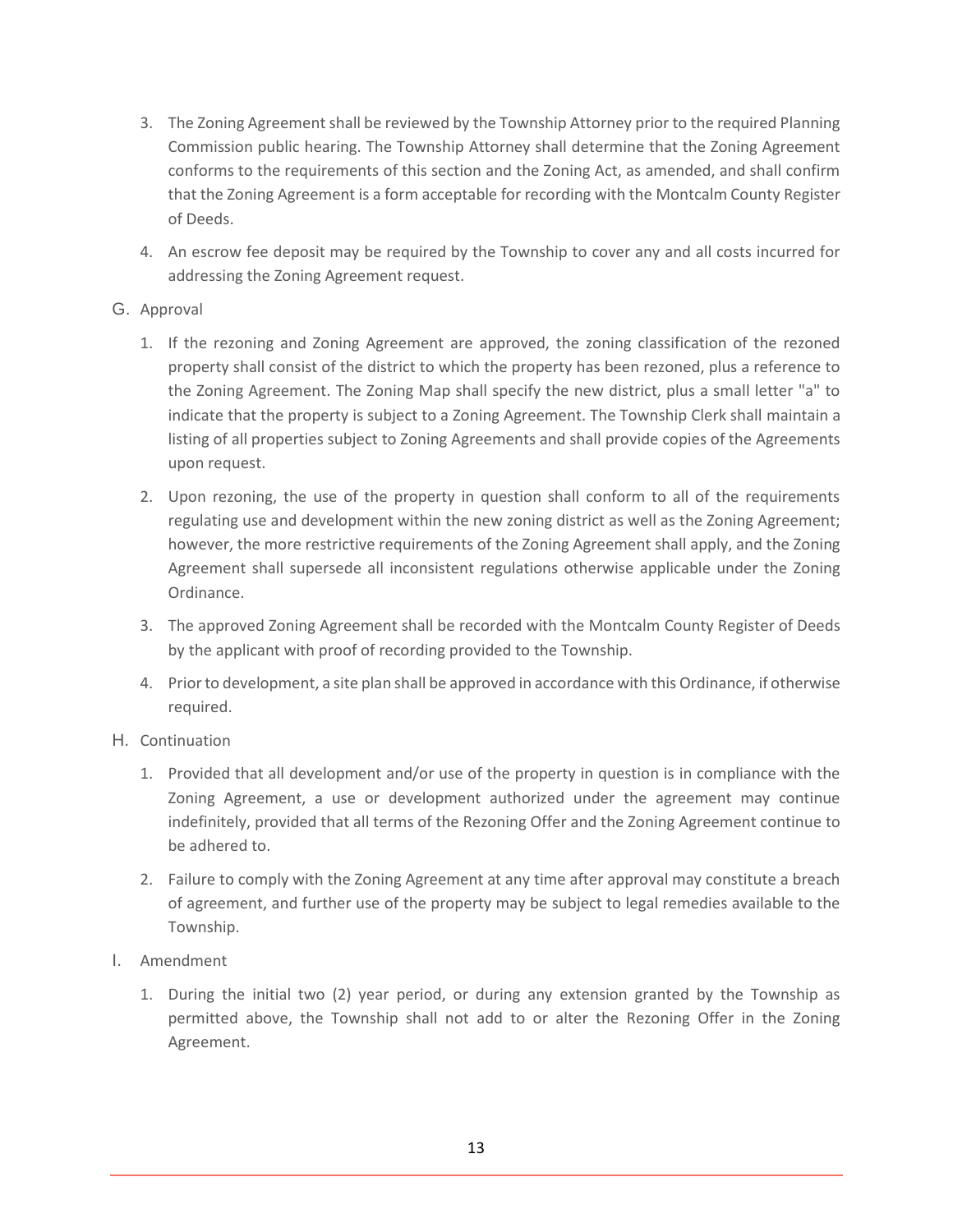- 3. The Zoning Agreement shall be reviewed by the Township Attorney prior to the required Planning Commission public hearing. The Township Attorney shall determine that the Zoning Agreement conforms to the requirements of this section and the Zoning Act, as amended, and shall confirm that the Zoning Agreement is a form acceptable for recording with the Montcalm County Register of Deeds.
- 4. An escrow fee deposit may be required by the Township to cover any and all costs incurred for addressing the Zoning Agreement request.
- G. Approval
	- 1. If the rezoning and Zoning Agreement are approved, the zoning classification of the rezoned property shall consist of the district to which the property has been rezoned, plus a reference to the Zoning Agreement. The Zoning Map shall specify the new district, plus a small letter "a" to indicate that the property is subject to a Zoning Agreement. The Township Clerk shall maintain a listing of all properties subject to Zoning Agreements and shall provide copies of the Agreements upon request.
	- 2. Upon rezoning, the use of the property in question shall conform to all of the requirements regulating use and development within the new zoning district as well as the Zoning Agreement; however, the more restrictive requirements of the Zoning Agreement shall apply, and the Zoning Agreement shall supersede all inconsistent regulations otherwise applicable under the Zoning Ordinance.
	- 3. The approved Zoning Agreement shall be recorded with the Montcalm County Register of Deeds by the applicant with proof of recording provided to the Township.
	- 4. Prior to development, a site plan shall be approved in accordance with this Ordinance, if otherwise required.
- H. Continuation
	- 1. Provided that all development and/or use of the property in question is in compliance with the Zoning Agreement, a use or development authorized under the agreement may continue indefinitely, provided that all terms of the Rezoning Offer and the Zoning Agreement continue to be adhered to.
	- 2. Failure to comply with the Zoning Agreement at any time after approval may constitute a breach of agreement, and further use of the property may be subject to legal remedies available to the Township.
- I. Amendment
	- 1. During the initial two (2) year period, or during any extension granted by the Township as permitted above, the Township shall not add to or alter the Rezoning Offer in the Zoning Agreement.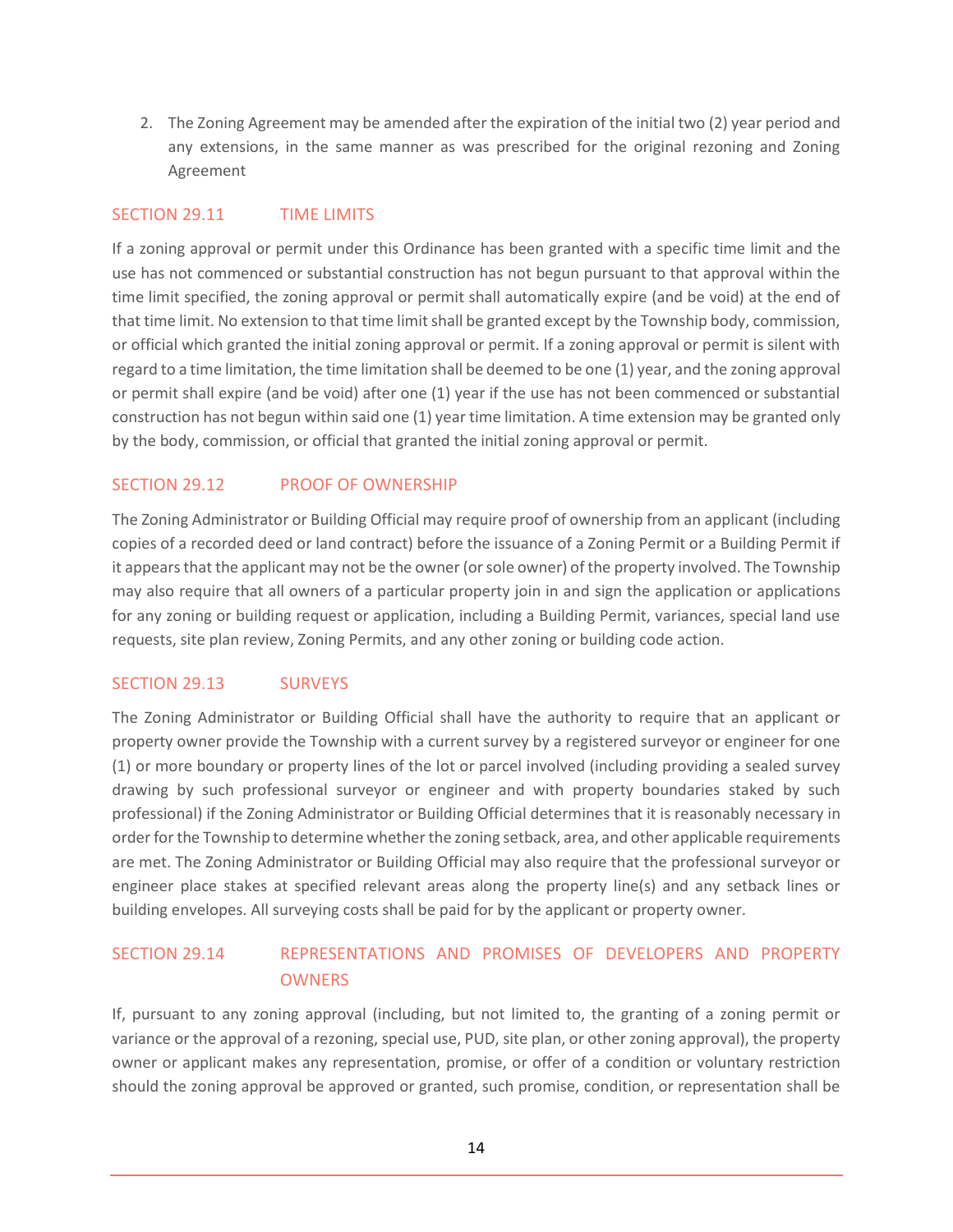2. The Zoning Agreement may be amended after the expiration of the initial two (2) year period and any extensions, in the same manner as was prescribed for the original rezoning and Zoning Agreement

## SECTION 29.11 TIME LIMITS

If a zoning approval or permit under this Ordinance has been granted with a specific time limit and the use has not commenced or substantial construction has not begun pursuant to that approval within the time limit specified, the zoning approval or permit shall automatically expire (and be void) at the end of that time limit. No extension to that time limit shall be granted except by the Township body, commission, or official which granted the initial zoning approval or permit. If a zoning approval or permit is silent with regard to a time limitation, the time limitation shall be deemed to be one (1) year, and the zoning approval or permit shall expire (and be void) after one (1) year if the use has not been commenced or substantial construction has not begun within said one (1) year time limitation. A time extension may be granted only by the body, commission, or official that granted the initial zoning approval or permit.

## SECTION 29.12 PROOF OF OWNERSHIP

The Zoning Administrator or Building Official may require proof of ownership from an applicant (including copies of a recorded deed or land contract) before the issuance of a Zoning Permit or a Building Permit if it appears that the applicant may not be the owner (or sole owner) of the property involved. The Township may also require that all owners of a particular property join in and sign the application or applications for any zoning or building request or application, including a Building Permit, variances, special land use requests, site plan review, Zoning Permits, and any other zoning or building code action.

# SECTION 29.13 SURVEYS

The Zoning Administrator or Building Official shall have the authority to require that an applicant or property owner provide the Township with a current survey by a registered surveyor or engineer for one (1) or more boundary or property lines of the lot or parcel involved (including providing a sealed survey drawing by such professional surveyor or engineer and with property boundaries staked by such professional) if the Zoning Administrator or Building Official determines that it is reasonably necessary in order for the Township to determine whether the zoning setback, area, and other applicable requirements are met. The Zoning Administrator or Building Official may also require that the professional surveyor or engineer place stakes at specified relevant areas along the property line(s) and any setback lines or building envelopes. All surveying costs shall be paid for by the applicant or property owner.

# SECTION 29.14 REPRESENTATIONS AND PROMISES OF DEVELOPERS AND PROPERTY **OWNERS**

If, pursuant to any zoning approval (including, but not limited to, the granting of a zoning permit or variance or the approval of a rezoning, special use, PUD, site plan, or other zoning approval), the property owner or applicant makes any representation, promise, or offer of a condition or voluntary restriction should the zoning approval be approved or granted, such promise, condition, or representation shall be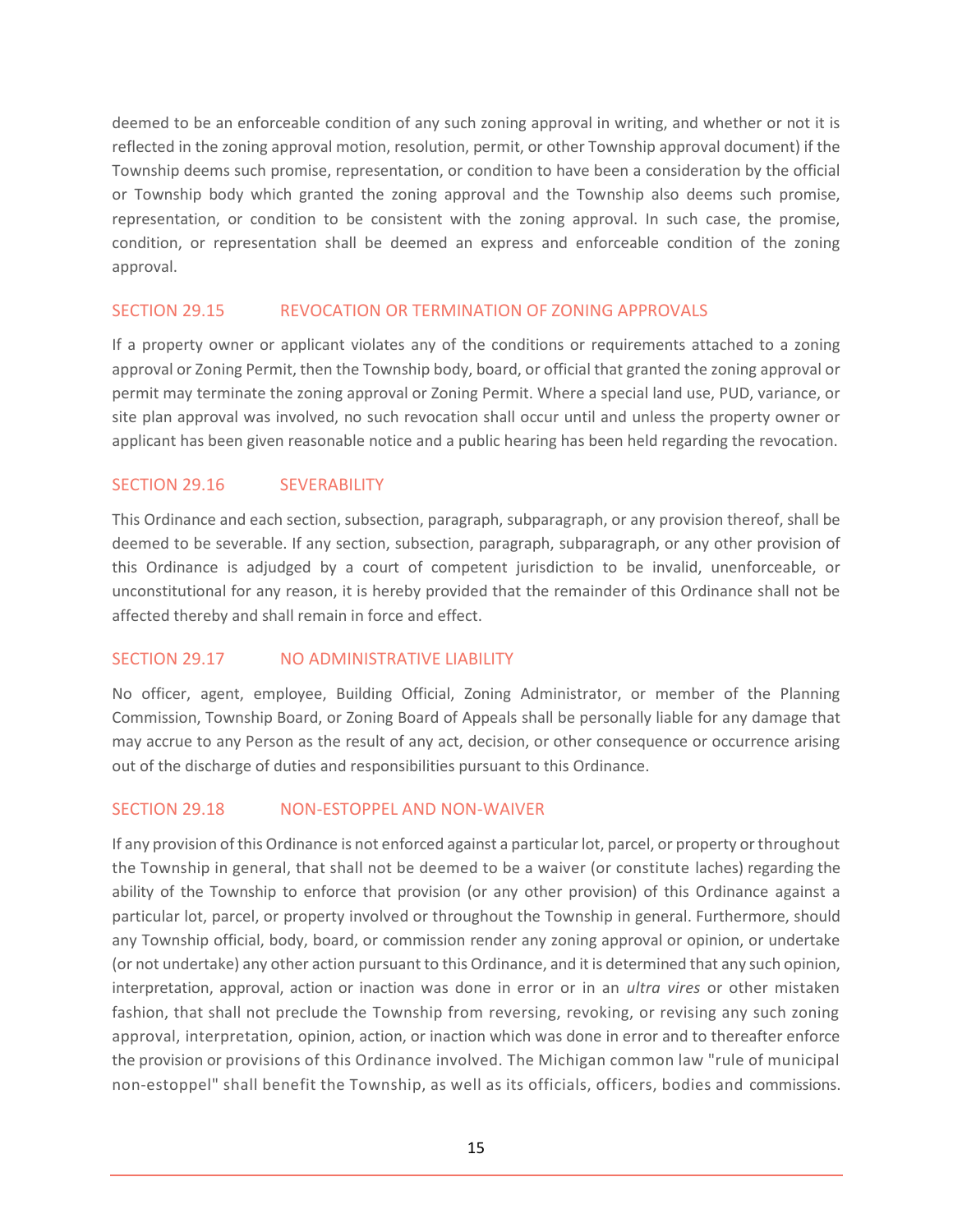deemed to be an enforceable condition of any such zoning approval in writing, and whether or not it is reflected in the zoning approval motion, resolution, permit, or other Township approval document) if the Township deems such promise, representation, or condition to have been a consideration by the official or Township body which granted the zoning approval and the Township also deems such promise, representation, or condition to be consistent with the zoning approval. In such case, the promise, condition, or representation shall be deemed an express and enforceable condition of the zoning approval.

### SECTION 29.15 REVOCATION OR TERMINATION OF ZONING APPROVALS

If a property owner or applicant violates any of the conditions or requirements attached to a zoning approval or Zoning Permit, then the Township body, board, or official that granted the zoning approval or permit may terminate the zoning approval or Zoning Permit. Where a special land use, PUD, variance, or site plan approval was involved, no such revocation shall occur until and unless the property owner or applicant has been given reasonable notice and a public hearing has been held regarding the revocation.

### SECTION 29.16 SEVERABILITY

This Ordinance and each section, subsection, paragraph, subparagraph, or any provision thereof, shall be deemed to be severable. If any section, subsection, paragraph, subparagraph, or any other provision of this Ordinance is adjudged by a court of competent jurisdiction to be invalid, unenforceable, or unconstitutional for any reason, it is hereby provided that the remainder of this Ordinance shall not be affected thereby and shall remain in force and effect.

## SECTION 29.17 NO ADMINISTRATIVE LIABILITY

No officer, agent, employee, Building Official, Zoning Administrator, or member of the Planning Commission, Township Board, or Zoning Board of Appeals shall be personally liable for any damage that may accrue to any Person as the result of any act, decision, or other consequence or occurrence arising out of the discharge of duties and responsibilities pursuant to this Ordinance.

#### SECTION 29.18 NON-ESTOPPEL AND NON-WAIVER

If any provision of this Ordinance is not enforced against a particular lot, parcel, or property or throughout the Township in general, that shall not be deemed to be a waiver (or constitute laches) regarding the ability of the Township to enforce that provision (or any other provision) of this Ordinance against a particular lot, parcel, or property involved or throughout the Township in general. Furthermore, should any Township official, body, board, or commission render any zoning approval or opinion, or undertake (or not undertake) any other action pursuant to this Ordinance, and it is determined that any such opinion, interpretation, approval, action or inaction was done in error or in an *ultra vires* or other mistaken fashion, that shall not preclude the Township from reversing, revoking, or revising any such zoning approval, interpretation, opinion, action, or inaction which was done in error and to thereafter enforce the provision or provisions of this Ordinance involved. The Michigan common law "rule of municipal non-estoppel" shall benefit the Township, as well as its officials, officers, bodies and commissions.